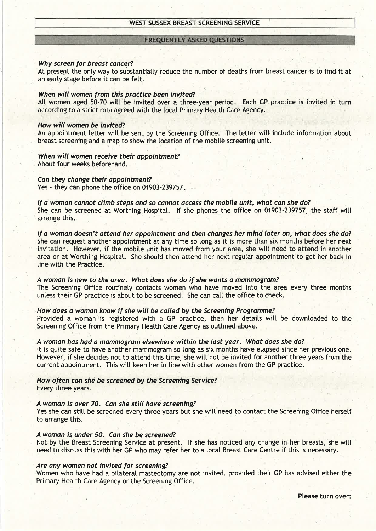## **FREQUENTLY ASKED QUESTIONS**

#### Why screen for breast cancer?

At present the only way to substantially reduce the number of deaths from breast cancer is to find it at an early stage before it can be felt.

## When will women from this practìce been invited?

All women aged 50-70 will be invited over a three-year period. Each GP practice is invited in turn according to a strict rota agreed with the local Primary Health Care Agency.

### How wìll women be ìnvited?

An appointment letter will be sent by the Screening Office. The letter will include information about breast screening and a map to show the location of the mobile screening unit.

### When will women receive their appointment? About four weeks beforehand.

Can they change their appoíntment?

Yes - they can phone the office on 01903-239757.

lf a woman connot climb steps and so connot access the mobíte unit, what can she do? She can be screened at Worthing Hospital. If she phones the office on 01903-239757, the staff will arrange this.

If a woman doesn't attend her appointment and then changes her mind later on, what does she do? She can request another appointment at any time so long as it is more than six months before her next invitation. However, if the mobile unit has moved from your area, she will need to attend in another area or at Worthing Hospitat. She shoutd then attend her next regutar appointment to get her back in line with the Practice.

A woman is new to the area. What does she do if she wants a mammogram? The Screening Office routinely contacts women who have moved into the area every three months untess their GP practice is about to be screened. She can catt the office to check.

# How does d woman know íf she wilt be called by the Screeníng Programme?

Provided a woman is registered with a GP practice, then her details will be downloaded to the Screening Office from the Primary Health Care Agency as outlined above.

## A woman has had a mammogrdm elsewhere within the last yeor. What does she do?

It is quite safe to have another mammogram so long as six months have elapsed since her previous one. However, if she decides not to attend this time, she witl not be invited for another three years from the current appointment. This will keep her in line with other women from the GP practice.

How often cdn she be screened by the Screeníng Servíce? Every three years.

#### Awoman is over 70. Can she stiil have screeníng?

Yes she can still be screened every three years but she will need to contact the Screening Office herself to arrange this.

# A woman ís. under 50. Can she be screened?

Not by the Breast Screening Service at present. If she has noticed any change in her breasts, she will need to discuss this with her GP who may refer her to a local Breast Care Centre if this is necessary.

#### Are any women not invited for screening?

Women who have had a bilateral mastectomy are not invited, provided their GP has advised either the Primary Health Care Agency or the Screening Office.